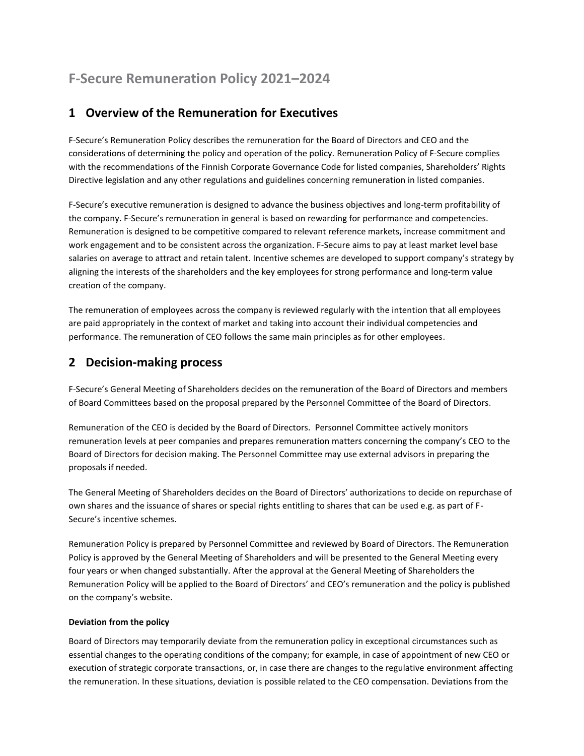# **F-Secure Remuneration Policy 2021–2024**

# **1 Overview of the Remuneration for Executives**

F-Secure's Remuneration Policy describes the remuneration for the Board of Directors and CEO and the considerations of determining the policy and operation of the policy. Remuneration Policy of F-Secure complies with the recommendations of the Finnish Corporate Governance Code for listed companies, Shareholders' Rights Directive legislation and any other regulations and guidelines concerning remuneration in listed companies.

F-Secure's executive remuneration is designed to advance the business objectives and long-term profitability of the company. F-Secure's remuneration in general is based on rewarding for performance and competencies. Remuneration is designed to be competitive compared to relevant reference markets, increase commitment and work engagement and to be consistent across the organization. F-Secure aims to pay at least market level base salaries on average to attract and retain talent. Incentive schemes are developed to support company's strategy by aligning the interests of the shareholders and the key employees for strong performance and long-term value creation of the company.

The remuneration of employees across the company is reviewed regularly with the intention that all employees are paid appropriately in the context of market and taking into account their individual competencies and performance. The remuneration of CEO follows the same main principles as for other employees.

## **2 Decision-making process**

F-Secure's General Meeting of Shareholders decides on the remuneration of the Board of Directors and members of Board Committees based on the proposal prepared by the Personnel Committee of the Board of Directors.

Remuneration of the CEO is decided by the Board of Directors. Personnel Committee actively monitors remuneration levels at peer companies and prepares remuneration matters concerning the company's CEO to the Board of Directors for decision making. The Personnel Committee may use external advisors in preparing the proposals if needed.

The General Meeting of Shareholders decides on the Board of Directors' authorizations to decide on repurchase of own shares and the issuance of shares or special rights entitling to shares that can be used e.g. as part of F-Secure's incentive schemes.

Remuneration Policy is prepared by Personnel Committee and reviewed by Board of Directors. The Remuneration Policy is approved by the General Meeting of Shareholders and will be presented to the General Meeting every four years or when changed substantially. After the approval at the General Meeting of Shareholders the Remuneration Policy will be applied to the Board of Directors' and CEO's remuneration and the policy is published on the company's website.

#### **Deviation from the policy**

Board of Directors may temporarily deviate from the remuneration policy in exceptional circumstances such as essential changes to the operating conditions of the company; for example, in case of appointment of new CEO or execution of strategic corporate transactions, or, in case there are changes to the regulative environment affecting the remuneration. In these situations, deviation is possible related to the CEO compensation. Deviations from the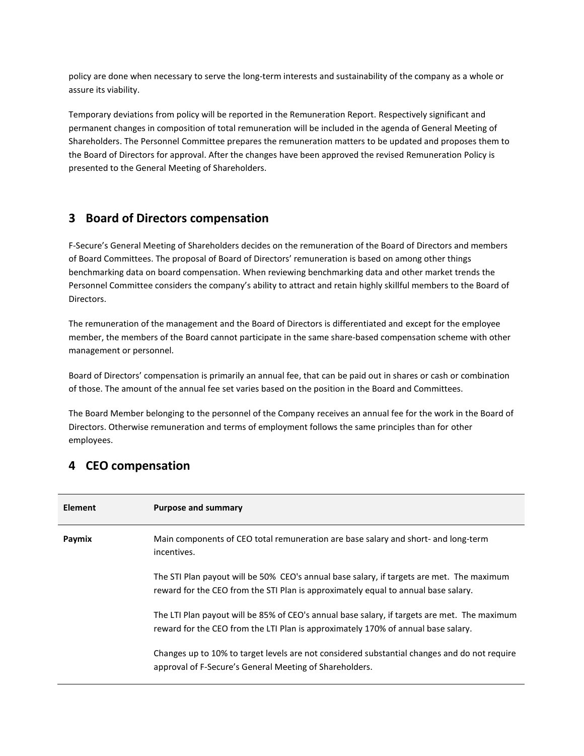policy are done when necessary to serve the long-term interests and sustainability of the company as a whole or assure its viability.

Temporary deviations from policy will be reported in the Remuneration Report. Respectively significant and permanent changes in composition of total remuneration will be included in the agenda of General Meeting of Shareholders. The Personnel Committee prepares the remuneration matters to be updated and proposes them to the Board of Directors for approval. After the changes have been approved the revised Remuneration Policy is presented to the General Meeting of Shareholders.

#### **3 Board of Directors compensation**

F-Secure's General Meeting of Shareholders decides on the remuneration of the Board of Directors and members of Board Committees. The proposal of Board of Directors' remuneration is based on among other things benchmarking data on board compensation. When reviewing benchmarking data and other market trends the Personnel Committee considers the company's ability to attract and retain highly skillful members to the Board of Directors.

The remuneration of the management and the Board of Directors is differentiated and except for the employee member, the members of the Board cannot participate in the same share-based compensation scheme with other management or personnel.

Board of Directors' compensation is primarily an annual fee, that can be paid out in shares or cash or combination of those. The amount of the annual fee set varies based on the position in the Board and Committees.

The Board Member belonging to the personnel of the Company receives an annual fee for the work in the Board of Directors. Otherwise remuneration and terms of employment follows the same principles than for other employees.

### **4 CEO compensation**

| <b>Element</b> | <b>Purpose and summary</b>                                                                                                                                                        |
|----------------|-----------------------------------------------------------------------------------------------------------------------------------------------------------------------------------|
| Paymix         | Main components of CEO total remuneration are base salary and short- and long-term<br>incentives.                                                                                 |
|                | The STI Plan payout will be 50% CEO's annual base salary, if targets are met. The maximum<br>reward for the CEO from the STI Plan is approximately equal to annual base salary.   |
|                | The LTI Plan payout will be 85% of CEO's annual base salary, if targets are met. The maximum<br>reward for the CEO from the LTI Plan is approximately 170% of annual base salary. |
|                | Changes up to 10% to target levels are not considered substantial changes and do not require<br>approval of F-Secure's General Meeting of Shareholders.                           |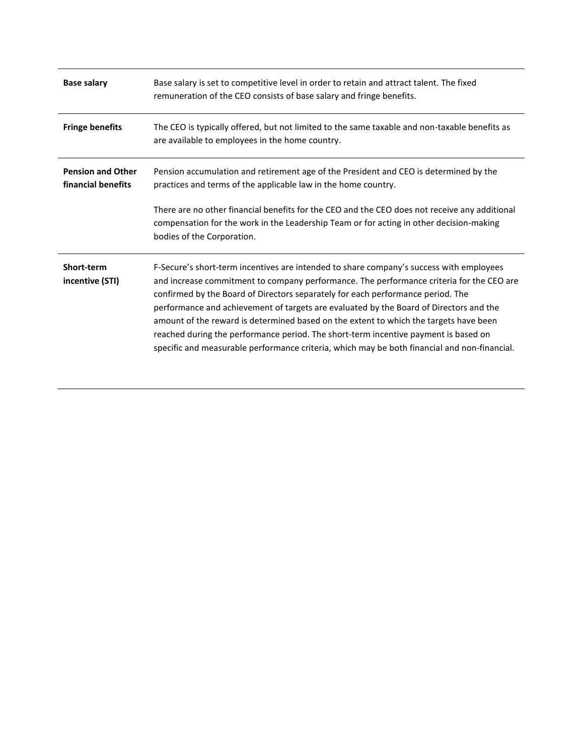| <b>Base salary</b>                             | Base salary is set to competitive level in order to retain and attract talent. The fixed<br>remuneration of the CEO consists of base salary and fringe benefits.                                                                                                                                                                                                                                                                                                                                                                                                                                                                                 |
|------------------------------------------------|--------------------------------------------------------------------------------------------------------------------------------------------------------------------------------------------------------------------------------------------------------------------------------------------------------------------------------------------------------------------------------------------------------------------------------------------------------------------------------------------------------------------------------------------------------------------------------------------------------------------------------------------------|
| <b>Fringe benefits</b>                         | The CEO is typically offered, but not limited to the same taxable and non-taxable benefits as<br>are available to employees in the home country.                                                                                                                                                                                                                                                                                                                                                                                                                                                                                                 |
| <b>Pension and Other</b><br>financial benefits | Pension accumulation and retirement age of the President and CEO is determined by the<br>practices and terms of the applicable law in the home country.                                                                                                                                                                                                                                                                                                                                                                                                                                                                                          |
|                                                | There are no other financial benefits for the CEO and the CEO does not receive any additional<br>compensation for the work in the Leadership Team or for acting in other decision-making<br>bodies of the Corporation.                                                                                                                                                                                                                                                                                                                                                                                                                           |
| Short-term<br>incentive (STI)                  | F-Secure's short-term incentives are intended to share company's success with employees<br>and increase commitment to company performance. The performance criteria for the CEO are<br>confirmed by the Board of Directors separately for each performance period. The<br>performance and achievement of targets are evaluated by the Board of Directors and the<br>amount of the reward is determined based on the extent to which the targets have been<br>reached during the performance period. The short-term incentive payment is based on<br>specific and measurable performance criteria, which may be both financial and non-financial. |